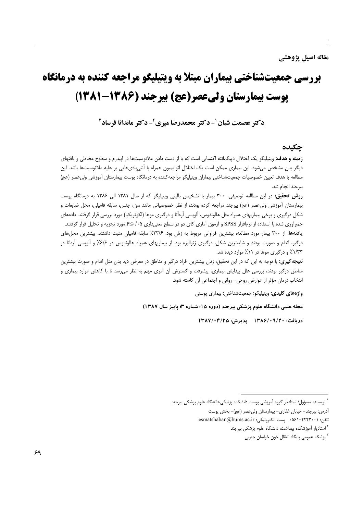# **بررسی جمعیتشناختی بیماران مبتلا به ویتیلیگو مراجعه کننده به درمانگاه یوست بیمارستان ولیعصر(عج) بیرجند (۱۳۸۶-۱۳۸۱)**

دکتر عصمت شبان ٰ- دکتر محمدرضا میری ٔ- دکتر ماندانا فرساد ؑ

#### حكىدە

**زمینه و هدف:** ویتیلیگو یک اختلال دیپگمانته اکتسابی است که با از دست دادن ملانوسیتها در اییدرم و سطوح مخاطی و بافتهای دیگر بدن مشخص میشود. این بیماری ممکن است یک اختلال اتوایمیون همراه با آنتیبادیهایی بر علیه ملانوسیتها باشد. این مطالعه با هدف تعیین خصوصیات جمعیتشناختی بیماران ویتیلیگو مراجعه کننده به درمانگاه پوست بیمارستان آموزشی ولی عصر (عج) بيرجند انجام شد.

روش تحقیق: در این مطالعه توصیفی، ۳۰۰ بیمار با تشخیص بالینی ویتیلیگو که از سال ۱۳۸۱ الی ۱۳۸۶ به درمانگاه پوست بیمارستان آموزشی ولی،عصر (عج) بیرجند مراجعه کرده بودند، از نظر خصوصیاتی مانند سن، جنس، سابقه فامیلی، محل ضایعات و شکل درگیری و برخی بیماریهای همراه مثل هالوندوس، آلوپسی آرەآتا و درگیری موها (لکوتریکیا) مورد بررسی قرار گرفتند. دادههای جمعآوری شده با استفاده از نرمافزار SPSS و آزمون آماری کای دو در سطح معنیداری ۲⁄۰۰≥P مورد تجزیه و تحلیل قرار گرفتند. يافتهها: از ۳۰۰ بيمار مورد مطالعه، بيشترين فراواني مربوط به زنان بود. ۲۳/۶٪ سابقه فاميلي مثبت داشتند. بيشترين محلهاي درگیر، اندام و صورت بودند و شایعترین شکل، درگیری ژنرالیزه بود. از بیماریهای همراه هالوندوس در ۶/۶٪ و آلوپسی آرهاتا در ۱/۳۳٪ و درگیری موها در ۱۱٪ موارد دیده شد.

**نتیجه گیری:** با توجه به این که در این تحقیق، زنان بیشترین افراد درگیر و مناطق در معرض دید بدن مثل اندام و صورت بیشترین مناطق درگیر بودند، بررسی علل پیدایش بیماری، پیشرفت و گسترش آن امری مهم به نظر میرسد تا با کاهش موارد بیماری و انتخاب درمان مؤثر از عوارض روحی- روانی و اجتماعی آن کاسته شود.

واژههای کلیدی: ویتیلیگو؛ جمعیتشناختی؛ بیماری پوستی

مجله علمی دانشگاه علوم پزشکی بیرجند (دوره ۱۵؛ شماره ۳؛ پاییز سال ۱۳۸۷)

دريافت: ١٣٨٤/٠٩/٢٠ يذيرش: ١٣٨٧/٠۴/٢٥

<sup>ّ</sup> نویسنده مسؤول؛ استادیار گروه آموزشی پوست دانشکده پزشکی،دانشگاه علوم پزشکی بیرجند

آدرس: بیرجند- خیابان غفاری- بیمارستان ولی عصر (عج)- بخش پوست

تلفن: ۰۵۶۱–۴۴۴۳۰۰۱ - ۵۶۱–۰۵۶۰ پست الکترونیکی: esmatshaban@bums.ac.ir

<sup>&</sup>lt;sup>۲</sup> استادیار آموزشکده بهداشت، دانشگاه علوم یزشکی بیرجند

<sup>&</sup>lt;sup>۳</sup> پزشک عمومی پایگاه انتقال خون خراسان جنوبی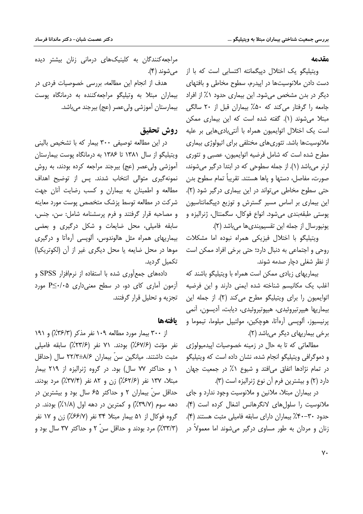مقدمه

ویتیلیگو یک اختلال دپیگمانته اکتسابی است که با از دست دادن ملانوسیتها در اییدرم، سطوح مخاطی و بافتهای دیگر در بدن مشخص میشود. این بیماری حدود ۱٪ از افراد جامعه را گرفتار می کند که ۵۰٪ بیماران قبل از ۲۰ سالگی مبتلا می شوند (۱). گفته شده است که این بیماری ممکن است یک اختلال اتوایمیون همراه با آنتیبادیهایی بر علیه ملانوسیتها باشد. تئوریهای مختلفی برای اتیولوژی بیماری مطرح شده است که شامل فرضیه اتوایمیون، عصبی و تئوری لرنر میباشد (۱). از جمله سطوحی که در ابتدا درگیر میشوند، صورت، مفاصل، دستها و ياها هستند. تقريباً تمام سطوح بدن حتی سطوح مخاطی می تواند در این بیماری در گیر شود (۲). این بیماری بر اساس مسیر گسترش و توزیع دییگمانتاسیون پوستی طبقهبندی میشود. انواع فوکال، سگمنتال، ژنرالیزه و يونيورسال از جمله اين تقسيمبندي ها مي باشد (٢).

ویتیلیگو با اختلال فیزیکی همراه نبوده اما مشکلات روحي و اجتماعي به دنبال دارد؛ حتى برخي افراد ممكن است از نظر شغلی دچار صدمه شوند.

بیماریهای زیادی ممکن است همراه با ویتیلیگو باشند که اغلب یک مکانیسم شناخته شده ایمنی دارند و این فرضیه اتوايميون را براي ويتيليگو مطرح مي كند (٢). از جمله اين بيماريها هيپرتيروئيدي، هيپوتيروئيدي، ديابت، آديسون، آنمي يرنيسيوز، آلويسي آرەآتا، ھوچكين، مولتيپل ميلوما، تيموما و برخی بیماریهای دیگر میباشد (۲).

مطالعاتی که تا به حال در زمینه خصوصیات ایپدمیولوژی و دموگرافی ویتیلیگو انجام شده، نشان داده است که ویتیلیگو در تمام نژادها اتفاق میافتد و شیوع ۱٪ در جمعیت جهان دارد (۲) و بیشترین فرم آن نوع ژنرالیزه است (۳).

در بیماران مبتلا، ملانین و ملانوسیت وجود ندارد و جای ملانوسیت را سلول های لانگرهانس اشغال کرده است (۴). حدود ٣٠-٣٠٪ بيماران داراي سابقه فاميلي مثبت هستند (۴). زنان و مردان به طور مساوی درگیر می شوند اما معمولاً در

مراجعه کنندگان به کلینیکهای درمانی زنان بیشتر دیده مے شوند (۴).

هدف از انجام این مطالعه، بررسی خصوصیات فردی در بیماران مبتلا به وتیلیگو مراجعهکننده به درمانگاه یوست بيمارستان آموزشي وليءصر (عج) بيرجند مي باشد.

## روش تحقيق

در این مطالعه توصیفی ۳۰۰ بیمار که با تشخیص بالینی ویتیلیگو از سال ۱۳۸۱ تا ۱۳۸۶ به درمانگاه پوست بیمارستان آموزشی ولی عصر (عج) بیرجند مراجعه کرده بودند، به روش نمونه گیری متوالی انتخاب شدند. پس از توضیح اهداف مطالعه و اطمینان به بیماران و کسب رضایت آنان جهت شرکت در مطالعه توسط پزشک متخصص پوست مورد معاینه و مصاحبه قرار گرفتند و فرم پرسشنامه شامل: سن، جنس، سابقه فامیلی، محل ضایعات و شکل درگیری و بعضی بیماریهای همراه مثل هالوندوس، آلویسی آرهآتا و درگیری موها در محل ضایعه یا محل دیگری غیر از آن (لکوتریکیا) تکمیل گردید.

دادههای جمع آوری شده با استفاده از نرمافزار SPSS و آزمون آماری کای دو، در سطح معنی داری P<+/P< تحزيه و تحليل قرار گرفتند.

#### بافتهها

از ۳۰۰ بیمار مورد مطالعه ۱۰۹ نفر مذکر (۳۶/۳٪) و ۱۹۱ نفر مؤنث (۶۷/۶٪) بودند. ۷۱ نفر (۲۳/۶٪) سابقه فامیلی مثبت داشتند. میانگین سنّ بیماران ۸/۶±۲۲/۳ سال (حداقل ۱ و حداکثر ۷۷ سال) بود. در گروه ژنرالیزه از ۲۱۹ بیمار مبتلا، ١٣٧ نفر (٢/۶٢/۶) زن و ٨٢ نفر (٣٧/٣٪) مرد بودند. حداقل سنّ بیماران ۲ و حداکثر ۶۵ سال بود و بیشترین در دهه سوم (۳۹/۷٪) و کمترین در دهه اول (۱/۸٪) بودند. در گروه فوكال از ۵۱ بيمار مبتلا ۳۴ نفر (۶۶/۷٪) زن و ۱۷ نفر (٣٣/٣٪) مرد بودند و حداقل سنّ ٢ و حداكثر ٣٧ سال بود و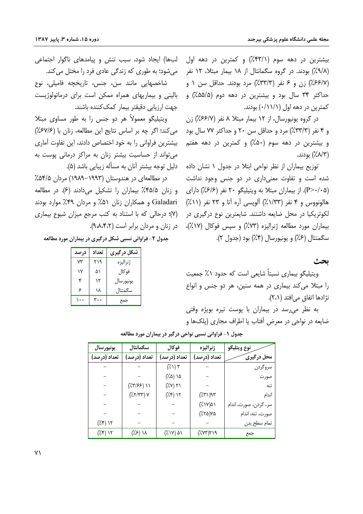بیشترین در دهه سوم (۳۳/۱٪) و کمترین در دهه اول (٩/٨٪) بودند. در گروه سگمانتال از ۱۸ بیمار مبتلا، ۱۲ نفر (۶۶/۷٪) زن و ۶ نفر (۳۳/۳٪) مرد بودند. حداقل سن ۱ و حداکثر ۳۴ سال بود و بیشترین در دهه دوم (۵۵/۵٪) و کمترین در دهه اول (۰/۱۱/۱) بودند.

در گروه یونیورسال، از ۱۲ بیمار مبتلا ۸ نفر (۶۶/۷٪) زن و ۴ نفر (۳۳/۳٪) مرد و حداقل سن ۲۰ و حداکثر ۷۷ سال بود و بیشترین در دهه سوم (۵۰٪) و کمترین در دهه هفتم (٨/٣٪) بودند.

توزیع بیماران از نظر نواحی ابتلا در جدول ۱ نشان داده شده است و تفاوت معنیداری در دو جنس وجود نداشت (P>٠/٠۵). از بیماران مبتلا به ویتیلیگو ۲۰ نفر (۶/۶٪) دارای هالونووس و ۴ نفر (۱/۳۳٪) آلوپسی آره آتا و ۲۳ نفر (۱۱٪) لکوتریکیا در محل ضایعه داشتند. شایعترین نوع درگیری در بیماران مورد مطالعه ژنرالیزه (۷۳٪) و سپس فوکال (۱۷٪)، سگمنتال (۶٪) و يونيورسال (۴٪) بود (جدول ۲).

**بحث** 

ویتیلیگو بیماری نسبتاً شایعی است که حدود ۱٪ جمعیت را مبتلا میکند بیماری در همه سنین، هر دو جنس و انواع نژادها اتفاق می افتد (۲،۱).

به نظر میرسد در بیماران با پوست تیره بویژه وقتی ضایعه در نواحی در معرض أفتاب یا اطراف مجاری (پلکها و

| لبها) ایجاد شود، سبب تنش و پیامدهای ناگوار اجتماعی |  |  |  |  |
|----------------------------------------------------|--|--|--|--|
| میشود؛ به طوری که زندگی عادی فرد را مختل میکند.    |  |  |  |  |

شاخصهایی مانند سن، جنس، تاریخچه فامیلی، نوع بالینی و بیماریهای همراه ممکن است برای درماتولوژیست جهت ارزيابي دقيقتر بيمار كمك كننده باشند.

ویتیلیگو معمولاً هر دو جنس را به طور مساوی مبتلا مي كند؛ اگر چه بر اساس نتايج اين مطالعه، زنان با (۶۷/۶٪) بیشترین فراوانی را به خود اختصاص دادند، این تفاوت آماری می تواند از حساسیت بیشتر زنان به مراکز درمانی پوست به دلیل توجه بیشتر آنان به مسأله زیبایی باشد (۵).

در مطالعهای در هندوستان (۱۹۹۳–۱۹۸۹) مردان ۵۴/۵٪ و زنان ۴۵/۵٪ بیماران را تشکیل میدادند (۶). در مطالعه Galadari و همکاران زنان ۵۱٪ و مردان ۴۹٪ موارد بودند (Y)؛ درحالی که با استناد به کتب مرجع میزان شیوع بیماری در زنان و مردان برابر است (۹،۸،۴،۲).

جدول ۲- فراوانی نسبی شکل در گیری در بیماران مورد مطالعه

| در صد | تعداد | شکل در گیری |
|-------|-------|-------------|
| ٧٣    | ۲۱۹   | ژنرالیزه    |
| ۱۷    | ۵۱    | فو کال      |
| ۴     | ۱۲    | يونيورسال   |
| ۶     | ۱۸    | سگمنتال     |
|       |       | جمع         |

| يونيورسال                   | سگمانتال                                       | فوكال                       | ژنراليزه                       | نوع ويتليگو           |
|-----------------------------|------------------------------------------------|-----------------------------|--------------------------------|-----------------------|
| تعداد (درصد)                | تعداد (درصد)                                   | تعداد (درصد)                | تعداد (درصد)                   | محل درگیری            |
|                             |                                                | $(\lambda')$ $\mathsf{r}'$  |                                | سروگردن               |
|                             |                                                | ۱۵ (۱۵٪)                    |                                | صورت                  |
|                             | $(\frac{1}{2}\frac{1}{2}\sqrt{1-\frac{1}{2}})$ | $(\sqrt{2}V)$ $\sqrt{2}$    |                                | تنه                   |
|                             | $(\frac{1}{2}(\gamma/\gamma\gamma))$ Y         | $(\lambda \mathfrak{r})$ ۱۲ | (75)                           | اندام                 |
|                             |                                                |                             | $(\lambda \vee \vee)$ ۵۱       | سر، گردن، صورت، اندام |
|                             |                                                |                             | $(\lambda \Upsilon \Delta)$ YA | صورت، تنه، اندام      |
| $(\lambda \mathfrak{r})$ ۱۲ |                                                |                             |                                | تمام سطح بدن          |
| $(\lambda \mathfrak{r})$ ۱۲ | $(\frac{1}{2})$ ) $\lambda$                    | $(\lambda \vee \vee)$ ۵۱    | (7.197)                        | جمع                   |

جدول ۱- فراوانی نسبی نواحی درگیر در بیماران مورد مطالعه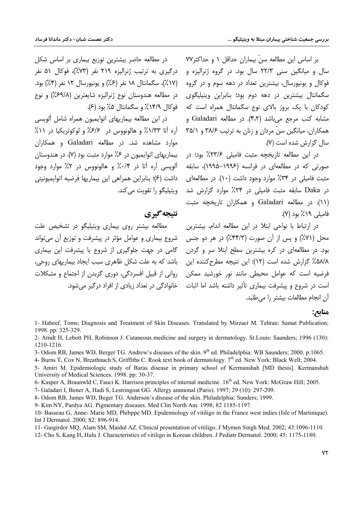بر اساس این مطالعه سن بیماران حداقل ۱ و حداکثر۷۷ سال و میانگین سنی ۲۲/۳ سال بود. در گروه ژنرالیزه و فوکال و یونیورسال، بیشترین تعداد در دهه سوم و در گروه سگمانتال بیشترین در دهه دوم بود؛ بنابراین ویتیلیگوی کودکان با یک بروز بالای نوع سگمانتال همراه است که مشابه کتب مرجع میباشد (۴،۲). در مطالعه Galadari و همکاران، میانگین سنّ مردان و زنان به ترتیب ۳۸/۶ و ۳۵/۱ سال گزارش شده است (۷).

در این مطالعه تاریخچه مثبت فامیلی ۲۳/۶٪ بود؛ در صورتی که در مطالعهای در فرانسه (۱۹۹۶–۱۹۹۵)، سابقه مثبت فامیلی در ۳۴٪ موارد وجود داشت (۱۰). در مطالعهای در Daka سابقه مثبت فامیلی در ۲۴٪ موارد گزارش شد (۱۱). در مطالعه Galadari و همکاران تاریخچه مثبت  $($ فامیلی ۱۹ $\lambda$ ۱۹ بود (۷).

در ارتباط با نواحی ابتلا در این مطالعه اندام، بیشترین محل (۷۱٪) و پس از آن صورت (۴۴/۳٪) در هر دو جنس بود. در مطالعهای در کره بیشترین سطح ابتلا سر و گردن ۵۸/۸٪ گزارش شده است (۱۲)؛ این نتیجه مطرحکننده این .<br>فرضیه است که عوامل محیطی مانند نور خورشید ممکن است در شروع و پیشرفت بیماری تأثیر داشته باشد اما اثبات ۔ خانوادگی در تعداد زیادی از افراد درگیر میشود. آن انحام مطالعات بيشتر را مرطليد.

در مطالعه حاضر پیشترین توزیع پیماری پر اساس شکل درگیری به ترتیب ژنرالیزه ۲۱۹ نفر (۷۳٪)، فوکال ۵۱ نفر (۱۷٪)، سگمانتال ۱۸ نفر (۶٪) و یونیورسال ۱۲ نفر (۴٪) بود. در مطالعه هندوستان نوع ژنرالیزه شایعترین (۶۹/۸٪) و نوع فوكال ۱۴/۹٪ و سگمانتال ۵٪ بود (۶).

در این مطالعه بیماریهای اتوایمیون همراه شامل آلویسی آره أتا ۱/۳۳٪ و هالونووس در ۶/۶٪ و لوکوتریکیا در ۱۱٪ موارد مشاهده شد. در مطالعه Galadari و همکاران بیماریهای اتوایمیون در ۶٪ موارد مثبت بود (۷). در هندوستان ألوپسی أره أتا در ۰/۴٪ و هالونووس در ۲٪ موارد وجود داشت (۶)؛ بنابراین همراهی این بیماریها فرضیه اتوایمپونیتی ويتيليگو را تقويت م*ي ك*ند.

### **نتىجە گىرى**

مطالعه بیشتر روی بیماری ویتیلیگو در تشخیص علت شروع بیماری و عوامل مؤثر در پیشرفت و توزیع آن میتواند گامی در جهت جلوگیری از شروع یا پیشرفت این بیماری باشد که به علت شکل ظاهری سبب ایجاد بیماریهای روحی، روانی از قبیل افسردگی، دوری گزیدن از اجتماع و مشکلات

#### **منابع:**

- 1- Habeef, Toms; Diagnosis and Treatment of Skin Diseases. Translated by Mirzaei M. Tehran: Samat Publication; 1998. pp: 325-329.
- 2- Arndt H, Lebott PH, Robinson J. Cutaneous medicine and surgery in dermatology. St.Louis: Saunders; 1996 (130): 1210-1216.
- 3- Odom RB, James WD, Berger TG. Andrew's diseases of the skin. 9<sup>th</sup> ed. Philadelphia: WB Saunders; 2000. p:1065.

4- Burns T, Cox N, Breathnach S, Griffiths C. Rook text book of dermatology. 7<sup>th</sup> ed. New York: Black Well; 2004.

- 5- Amiri M. Epidemiologic study of Baras disease in primary school of Kermanshah [MD thesis]. Kermanshah University of Medical Sciences. 1998. pp: 30-37.
- 6- Kasper A, Braunwld C, Fauci K. Harrison principles of internal medicine .16<sup>th</sup> ed. New York: McGraw Hill; 2005.
- 7- Galadari I, Bener A, Hadi S, Lestringoat GG. Allergy ammonal (Paris). 1997; 29 (10): 297-299.

8- Odom RB, James WD, Beger TG. Anderson's disease of the skin. Philadelphia: Sunders; 1999.

9- Kim NY, Pardya AG. Pigmentary diseases. Med Clin North Am. 1998; 82 1185-1197.

- 10- Basseau G, Anne- Marie MD, Phibppe MD. Epidemiology of vitiligo in the France west indies (Isle of Martinique). Int J Dermatol. 2000; 82: 896-914.
- 11- Gaigirdor MQ, Alam SM, Maidul AZ. Clinical presentation of vitiligo. J Mymen Singh Med. 2002; 43:1096-1110.

12- Cho S, Kang H, Halu J. Characteristics of vitiligo in Korean children. J Pediatr Dermatol. 2000; 45: 1175-1180.